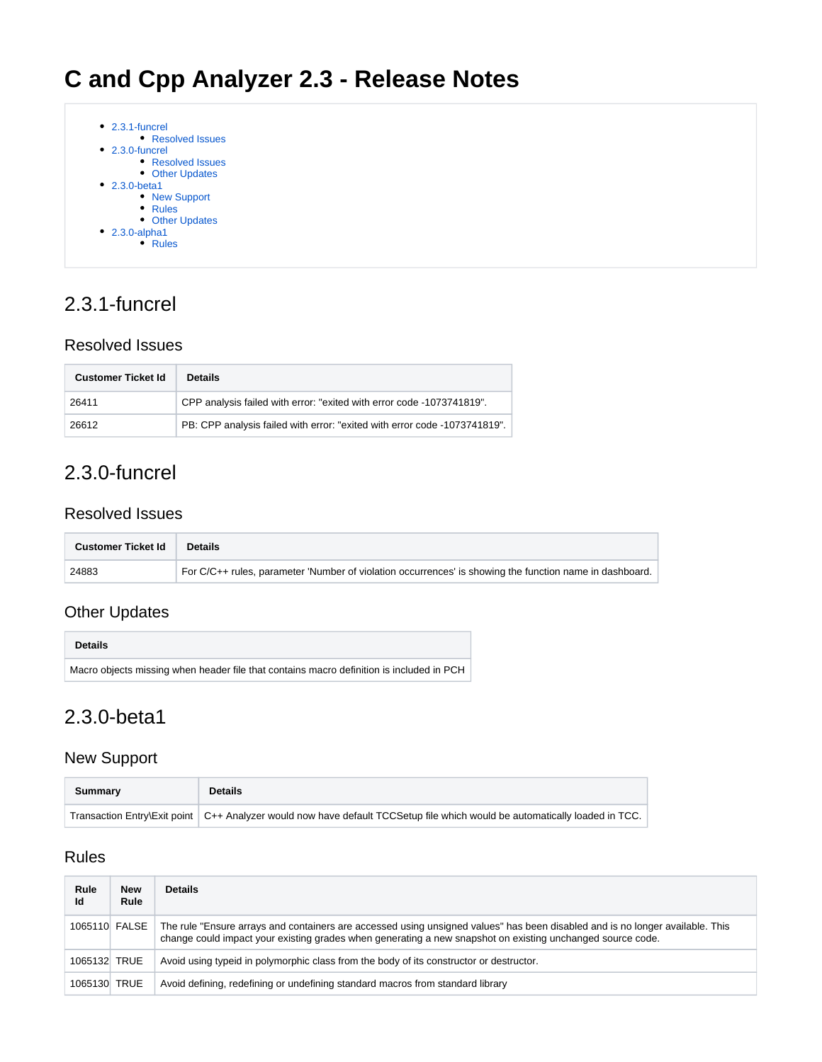

# <span id="page-0-0"></span>2.3.1-funcrel

#### <span id="page-0-1"></span>Resolved Issues

| <b>Customer Ticket Id</b> | <b>Details</b>                                                            |
|---------------------------|---------------------------------------------------------------------------|
| 26411                     | CPP analysis failed with error: "exited with error code -1073741819".     |
| 26612                     | PB: CPP analysis failed with error: "exited with error code -1073741819". |

# <span id="page-0-2"></span>2.3.0-funcrel

#### <span id="page-0-3"></span>Resolved Issues

| <b>Customer Ticket Id</b> | <b>Details</b>                                                                                          |
|---------------------------|---------------------------------------------------------------------------------------------------------|
| 24883                     | For C/C++ rules, parameter 'Number of violation occurrences' is showing the function name in dashboard. |

### <span id="page-0-4"></span>Other Updates

| <b>Details</b>                                                                           |
|------------------------------------------------------------------------------------------|
| Macro objects missing when header file that contains macro definition is included in PCH |

## <span id="page-0-5"></span>2.3.0-beta1

#### <span id="page-0-6"></span>New Support

| Summary | <b>Details</b>                                                                                                               |
|---------|------------------------------------------------------------------------------------------------------------------------------|
|         | Transaction Entry\Exit point   C++ Analyzer would now have default TCCSetup file which would be automatically loaded in TCC. |

### <span id="page-0-7"></span>Rules

| Rule<br>ld   | <b>New</b><br>Rule | <b>Details</b>                                                                                                                                                                                                                              |
|--------------|--------------------|---------------------------------------------------------------------------------------------------------------------------------------------------------------------------------------------------------------------------------------------|
|              | 1065110 FALSE      | The rule "Ensure arrays and containers are accessed using unsigned values" has been disabled and is no longer available. This<br>change could impact your existing grades when generating a new snapshot on existing unchanged source code. |
| 1065132 TRUE |                    | Avoid using typeid in polymorphic class from the body of its constructor or destructor.                                                                                                                                                     |
| 1065130 TRUE |                    | Avoid defining, redefining or undefining standard macros from standard library                                                                                                                                                              |